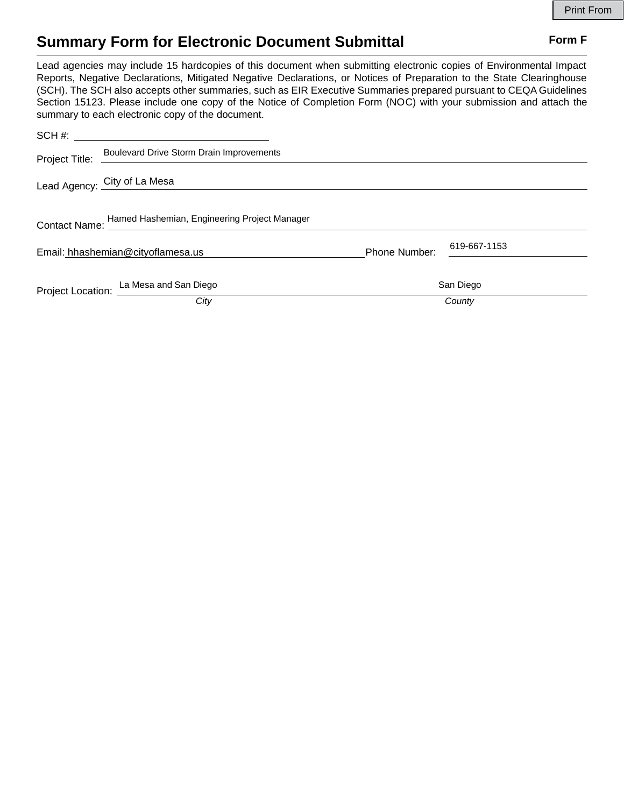# **Summary Form for Electronic Document Submittal Form F Form F**

Lead agencies may include 15 hardcopies of this document when submitting electronic copies of Environmental Impact Reports, Negative Declarations, Mitigated Negative Declarations, or Notices of Preparation to the State Clearinghouse (SCH). The SCH also accepts other summaries, such as EIR Executive Summaries prepared pursuant to CEQA Guidelines Section 15123. Please include one copy of the Notice of Completion Form (NOC) with your submission and attach the summary to each electronic copy of the document.

|                                   | SCH #:                                                     |                      |              |  |
|-----------------------------------|------------------------------------------------------------|----------------------|--------------|--|
| Project Title:                    | Boulevard Drive Storm Drain Improvements                   |                      |              |  |
|                                   | Lead Agency: City of La Mesa                               |                      |              |  |
|                                   | Contact Name: Hamed Hashemian, Engineering Project Manager |                      |              |  |
| Email: hhashemian@cityoflamesa.us |                                                            | <b>Phone Number:</b> | 619-667-1153 |  |
|                                   | Project Location: La Mesa and San Diego                    | San Diego            |              |  |
|                                   | City                                                       |                      | County       |  |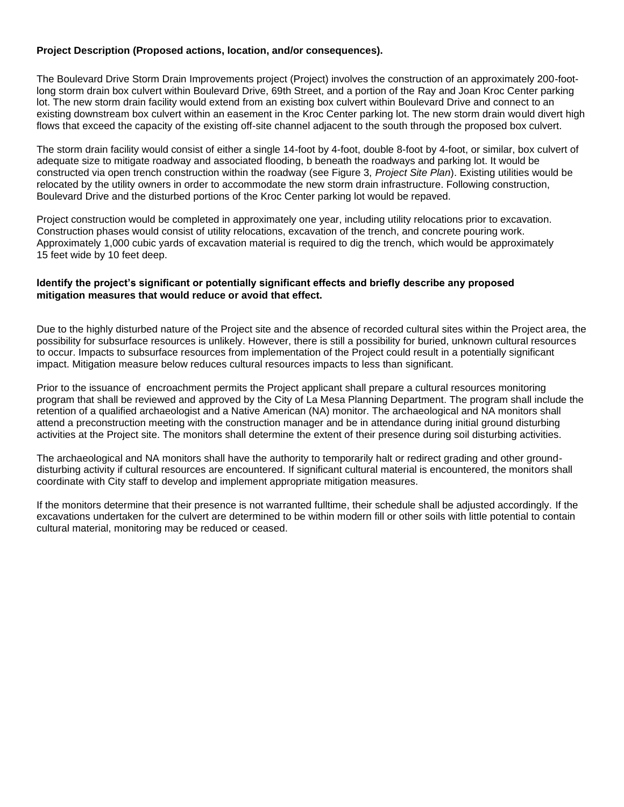# **Project Description (Proposed actions, location, and/or consequences).**

The Boulevard Drive Storm Drain Improvements project (Project) involves the construction of an approximately 200-footlong storm drain box culvert within Boulevard Drive, 69th Street, and a portion of the Ray and Joan Kroc Center parking lot. The new storm drain facility would extend from an existing box culvert within Boulevard Drive and connect to an existing downstream box culvert within an easement in the Kroc Center parking lot. The new storm drain would divert high flows that exceed the capacity of the existing off-site channel adjacent to the south through the proposed box culvert.

The storm drain facility would consist of either a single 14-foot by 4-foot, double 8-foot by 4-foot, or similar, box culvert of adequate size to mitigate roadway and associated flooding, b beneath the roadways and parking lot. It would be constructed via open trench construction within the roadway (see Figure 3, *Project Site Plan*). Existing utilities would be relocated by the utility owners in order to accommodate the new storm drain infrastructure. Following construction, Boulevard Drive and the disturbed portions of the Kroc Center parking lot would be repaved.

Project construction would be completed in approximately one year, including utility relocations prior to excavation. Construction phases would consist of utility relocations, excavation of the trench, and concrete pouring work. Approximately 1,000 cubic yards of excavation material is required to dig the trench, which would be approximately 15 feet wide by 10 feet deep.

### **Identify the project's significant or potentially significant effects and briefly describe any proposed mitigation measures that would reduce or avoid that effect.**

Due to the highly disturbed nature of the Project site and the absence of recorded cultural sites within the Project area, the possibility for subsurface resources is unlikely. However, there is still a possibility for buried, unknown cultural resources to occur. Impacts to subsurface resources from implementation of the Project could result in a potentially significant impact. Mitigation measure below reduces cultural resources impacts to less than significant.

Prior to the issuance of encroachment permits the Project applicant shall prepare a cultural resources monitoring program that shall be reviewed and approved by the City of La Mesa Planning Department. The program shall include the retention of a qualified archaeologist and a Native American (NA) monitor. The archaeological and NA monitors shall attend a preconstruction meeting with the construction manager and be in attendance during initial ground disturbing activities at the Project site. The monitors shall determine the extent of their presence during soil disturbing activities.

The archaeological and NA monitors shall have the authority to temporarily halt or redirect grading and other grounddisturbing activity if cultural resources are encountered. If significant cultural material is encountered, the monitors shall coordinate with City staff to develop and implement appropriate mitigation measures.

If the monitors determine that their presence is not warranted fulltime, their schedule shall be adjusted accordingly. If the excavations undertaken for the culvert are determined to be within modern fill or other soils with little potential to contain cultural material, monitoring may be reduced or ceased.